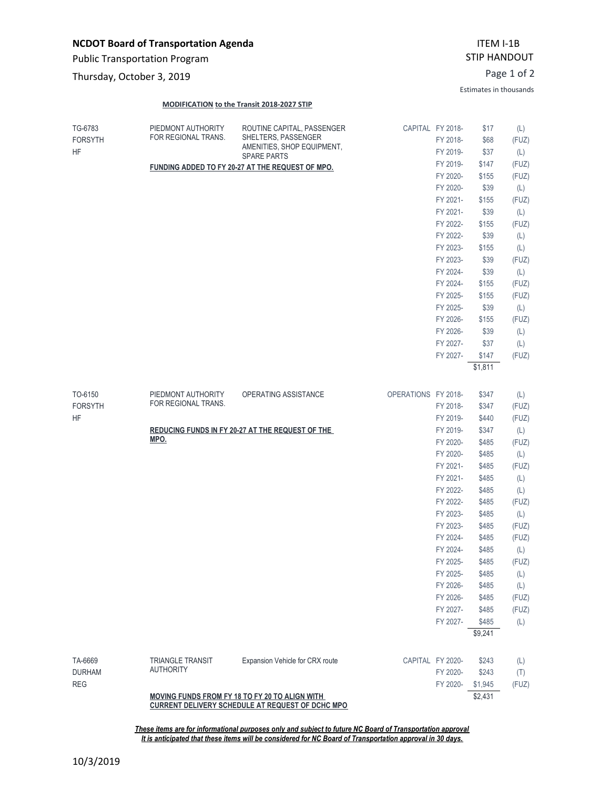## **NCDOT Board of Transportation Agenda**

Public Transportation Program

Page 1 of 2 Thursday, October 3, 2019

## **MODIFICATION to the Transit 2018-2027 STIP**

Estimates in thousands

| TG-6783<br><b>FORSYTH</b><br>HF                                                                           | PIEDMONT AUTHORITY<br>FOR REGIONAL TRANS.        | ROUTINE CAPITAL, PASSENGER<br>SHELTERS, PASSENGER<br>AMENITIES, SHOP EQUIPMENT,<br><b>SPARE PARTS</b> |                     | CAPITAL FY 2018-<br>FY 2018-<br>FY 2019- | \$17<br>\$68<br>\$37 | (L)<br>(FUZ)<br>(L) |  |  |
|-----------------------------------------------------------------------------------------------------------|--------------------------------------------------|-------------------------------------------------------------------------------------------------------|---------------------|------------------------------------------|----------------------|---------------------|--|--|
|                                                                                                           | FUNDING ADDED TO FY 20-27 AT THE REQUEST OF MPO. |                                                                                                       |                     |                                          | \$147                | (FUZ)               |  |  |
|                                                                                                           |                                                  |                                                                                                       |                     |                                          | \$155                | (FUZ)               |  |  |
|                                                                                                           |                                                  |                                                                                                       |                     | FY 2020-                                 | \$39                 | (L)                 |  |  |
|                                                                                                           |                                                  |                                                                                                       |                     | FY 2021-                                 | \$155                | (FUZ)               |  |  |
|                                                                                                           |                                                  |                                                                                                       |                     | FY 2021-                                 | \$39                 | (L)                 |  |  |
|                                                                                                           |                                                  |                                                                                                       |                     | FY 2022-                                 | \$155                | (FUZ)               |  |  |
|                                                                                                           |                                                  |                                                                                                       |                     | FY 2022-                                 | \$39                 | (L)                 |  |  |
|                                                                                                           |                                                  |                                                                                                       |                     | FY 2023-                                 | \$155                | (L)                 |  |  |
|                                                                                                           |                                                  |                                                                                                       |                     | FY 2023-                                 | \$39                 | (FUZ)               |  |  |
|                                                                                                           |                                                  |                                                                                                       |                     | FY 2024-                                 | \$39                 | (L)                 |  |  |
|                                                                                                           |                                                  |                                                                                                       |                     | FY 2024-                                 | \$155                | (FUZ)               |  |  |
|                                                                                                           |                                                  |                                                                                                       |                     | FY 2025-                                 | \$155                | (FUZ)               |  |  |
|                                                                                                           |                                                  |                                                                                                       |                     | FY 2025-<br>FY 2026-                     | \$39                 | (L)                 |  |  |
|                                                                                                           |                                                  |                                                                                                       |                     | FY 2026-                                 | \$155<br>\$39        | (FUZ)               |  |  |
|                                                                                                           |                                                  |                                                                                                       |                     | FY 2027-                                 | \$37                 | (L)<br>(L)          |  |  |
|                                                                                                           |                                                  |                                                                                                       |                     | FY 2027-                                 | \$147                | (FUZ)               |  |  |
|                                                                                                           |                                                  |                                                                                                       |                     |                                          | \$1,811              |                     |  |  |
|                                                                                                           |                                                  |                                                                                                       |                     |                                          |                      |                     |  |  |
| TO-6150<br><b>FORSYTH</b>                                                                                 | PIEDMONT AUTHORITY<br>FOR REGIONAL TRANS.        | OPERATING ASSISTANCE                                                                                  | OPERATIONS FY 2018- |                                          | \$347                | (L)                 |  |  |
|                                                                                                           |                                                  |                                                                                                       |                     | FY 2018-                                 | \$347                | (FUZ)               |  |  |
| <b>HF</b>                                                                                                 |                                                  |                                                                                                       |                     | FY 2019-                                 | \$440                | (FUZ)               |  |  |
|                                                                                                           | REDUCING FUNDS IN FY 20-27 AT THE REQUEST OF THE |                                                                                                       | FY 2019-            | \$347                                    | (L)                  |                     |  |  |
|                                                                                                           | MPO.                                             |                                                                                                       |                     | FY 2020-                                 | \$485                | (FUZ)               |  |  |
|                                                                                                           |                                                  |                                                                                                       |                     | FY 2020-                                 | \$485                | (L)                 |  |  |
|                                                                                                           |                                                  |                                                                                                       |                     | FY 2021-                                 | \$485                | (FUZ)               |  |  |
|                                                                                                           |                                                  |                                                                                                       |                     | FY 2021-                                 | \$485                | (L)                 |  |  |
|                                                                                                           |                                                  |                                                                                                       |                     | FY 2022-                                 | \$485                | (L)                 |  |  |
|                                                                                                           |                                                  |                                                                                                       |                     | FY 2022-                                 | \$485                | (FUZ)               |  |  |
|                                                                                                           |                                                  |                                                                                                       |                     | FY 2023-                                 | \$485                | (L)                 |  |  |
|                                                                                                           |                                                  |                                                                                                       |                     | FY 2023-                                 | \$485                | (FUZ)               |  |  |
|                                                                                                           |                                                  |                                                                                                       |                     | FY 2024-                                 | \$485                | (FUZ)               |  |  |
|                                                                                                           |                                                  |                                                                                                       |                     | FY 2024-                                 | \$485                | (L)                 |  |  |
|                                                                                                           |                                                  |                                                                                                       |                     | FY 2025-                                 | \$485                | (FUZ)               |  |  |
|                                                                                                           |                                                  |                                                                                                       |                     | FY 2025-                                 | \$485                | (L)                 |  |  |
|                                                                                                           |                                                  |                                                                                                       |                     | FY 2026-                                 | \$485                | (L)                 |  |  |
|                                                                                                           |                                                  |                                                                                                       |                     | FY 2026-                                 | \$485                | (FUZ)               |  |  |
|                                                                                                           |                                                  |                                                                                                       |                     | FY 2027-                                 | \$485                | (FUZ)               |  |  |
|                                                                                                           |                                                  |                                                                                                       |                     | FY 2027-                                 | \$485                | (L)                 |  |  |
|                                                                                                           |                                                  |                                                                                                       |                     |                                          | \$9,241              |                     |  |  |
|                                                                                                           |                                                  | Expansion Vehicle for CRX route                                                                       |                     |                                          |                      |                     |  |  |
| TA-6669<br><b>DURHAM</b>                                                                                  | <b>TRIANGLE TRANSIT</b><br><b>AUTHORITY</b>      |                                                                                                       |                     | CAPITAL FY 2020-<br>FY 2020-             | \$243<br>\$243       | (L)                 |  |  |
| <b>REG</b>                                                                                                |                                                  |                                                                                                       |                     | FY 2020-                                 | \$1,945              | (T)<br>(FUZ)        |  |  |
|                                                                                                           |                                                  |                                                                                                       | \$2,431             |                                          |                      |                     |  |  |
| MOVING FUNDS FROM FY 18 TO FY 20 TO ALIGN WITH<br><b>CURRENT DELIVERY SCHEDULE AT REQUEST OF DCHC MPO</b> |                                                  |                                                                                                       |                     |                                          |                      |                     |  |  |

*These items are for informational purposes only and subject to future NC Board of Transportation approval It is anticipated that these items will be considered for NC Board of Transportation approval in 30 days.*